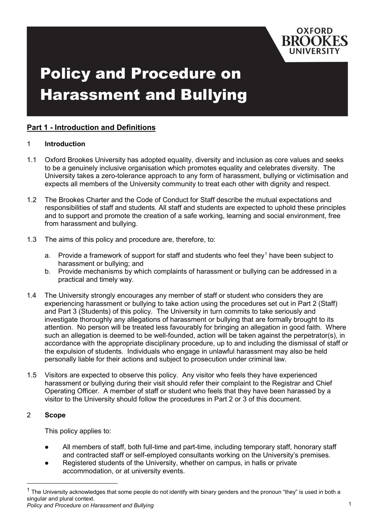

# Policy and Procedure on Harassment and Bullying

# **Part 1 - Introduction and Definitions**

#### 1 **Introduction**

- 1.1 Oxford Brookes University has adopted equality, diversity and inclusion as core values and seeks to be a genuinely inclusive organisation which promotes equality and celebrates diversity. The University takes a zero-tolerance approach to any form of harassment, bullying or victimisation and expects all members of the University community to treat each other with dignity and respect.
- 1.2 The Brookes Charter and the Code of Conduct for Staff describe the mutual expectations and responsibilities of staff and students. All staff and students are expected to uphold these principles and to support and promote the creation of a safe working, learning and social environment, free from harassment and bullying.
- 1.3 The aims of this policy and procedure are, therefore, to:
	- a. Provide a framework of support for staff and students who feel they<sup>[1](#page-0-0)</sup> have been subject to harassment or bullying; and
	- b. Provide mechanisms by which complaints of harassment or bullying can be addressed in a practical and timely way.
- 1.4 The University strongly encourages any member of staff or student who considers they are experiencing harassment or bullying to take action using the procedures set out in Part 2 (Staff) and Part 3 (Students) of this policy. The University in turn commits to take seriously and investigate thoroughly any allegations of harassment or bullying that are formally brought to its attention. No person will be treated less favourably for bringing an allegation in good faith. Where such an allegation is deemed to be well-founded, action will be taken against the perpetrator(s), in accordance with the appropriate disciplinary procedure, up to and including the dismissal of staff or the expulsion of students. Individuals who engage in unlawful harassment may also be held personally liable for their actions and subject to prosecution under criminal law.
- 1.5 Visitors are expected to observe this policy. Any visitor who feels they have experienced harassment or bullying during their visit should refer their complaint to the Registrar and Chief Operating Officer. A member of staff or student who feels that they have been harassed by a visitor to the University should follow the procedures in Part 2 or 3 of this document.

# 2 **Scope**

This policy applies to:

- All members of staff, both full-time and part-time, including temporary staff, honorary staff and contracted staff or self-employed consultants working on the University's premises.
- Registered students of the University, whether on campus, in halls or private accommodation, or at university events.

<span id="page-0-0"></span>*Policy and Procedure on Harassment and Bullying* 1  $1$  The University acknowledges that some people do not identify with binary genders and the pronoun "they" is used in both a singular and plural context.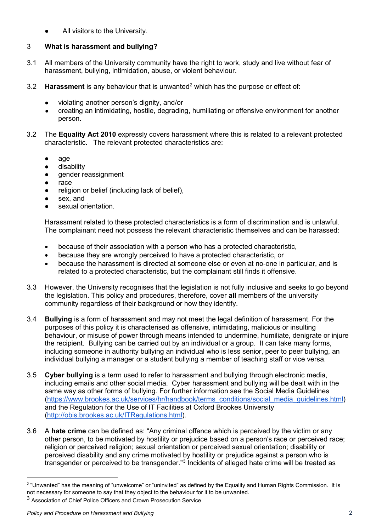All visitors to the University.

# 3 **What is harassment and bullying?**

- 3.1 All members of the University community have the right to work, study and live without fear of harassment, bullying, intimidation, abuse, or violent behaviour.
- 3.[2](#page-1-0) **Harassment** is any behaviour that is unwanted<sup>2</sup> which has the purpose or effect of:
	- violating another person's dignity, and/or
	- creating an intimidating, hostile, degrading, humiliating or offensive environment for another person.
- 3.2 The **Equality Act 2010** expressly covers harassment where this is related to a relevant protected characteristic. The relevant protected characteristics are:
	- age
	- disability
	- gender reassignment
	- race
	- religion or belief (including lack of belief),
	- sex, and
	- sexual orientation.

Harassment related to these protected characteristics is a form of discrimination and is unlawful. The complainant need not possess the relevant characteristic themselves and can be harassed:

- because of their association with a person who has a protected characteristic,
- because they are wrongly perceived to have a protected characteristic, or
- because the harassment is directed at someone else or even at no-one in particular, and is related to a protected characteristic, but the complainant still finds it offensive.
- 3.3 However, the University recognises that the legislation is not fully inclusive and seeks to go beyond the legislation. This policy and procedures, therefore, cover **all** members of the university community regardless of their background or how they identify.
- 3.4 **Bullying** is a form of harassment and may not meet the legal definition of harassment. For the purposes of this policy it is characterised as offensive, intimidating, malicious or insulting behaviour, or misuse of power through means intended to undermine, humiliate, denigrate or injure the recipient. Bullying can be carried out by an individual or a group. It can take many forms, including someone in authority bullying an individual who is less senior, peer to peer bullying, an individual bullying a manager or a student bullying a member of teaching staff or vice versa.
- 3.5 **Cyber bullying** is a term used to refer to harassment and bullying through electronic media, including emails and other social media. Cyber harassment and bullying will be dealt with in the same way as other forms of bullying. For further information see the Social Media Guidelines [\(https://www.brookes.ac.uk/services/hr/handbook/terms\\_conditions/social\\_media\\_guidelines.html\)](https://www.brookes.ac.uk/services/hr/handbook/terms_conditions/social_media_guidelines.html) and the Regulation for the Use of IT Facilities at Oxford Brookes University [\(http://obis.brookes.ac.uk/ITRegulations.html\)](http://obis.brookes.ac.uk/ITRegulations.html).
- 3.6 A **hate crime** can be defined as: "Any criminal offence which is perceived by the victim or any other person, to be motivated by hostility or prejudice based on a person's race or perceived race; religion or perceived religion; sexual orientation or perceived sexual orientation; disability or perceived disability and any crime motivated by hostility or prejudice against a person who is transgender or perceived to be transgender."[3](#page-1-1) Incidents of alleged hate crime will be treated as

 $\overline{a}$ 

<span id="page-1-0"></span><sup>&</sup>lt;sup>2</sup> "Unwanted" has the meaning of "unwelcome" or "uninvited" as defined by the Equality and Human Rights Commission. It is not necessary for someone to say that they object to the behaviour for it to be unwanted.

<span id="page-1-1"></span><sup>3</sup> Association of Chief Police Officers and Crown Prosecution Service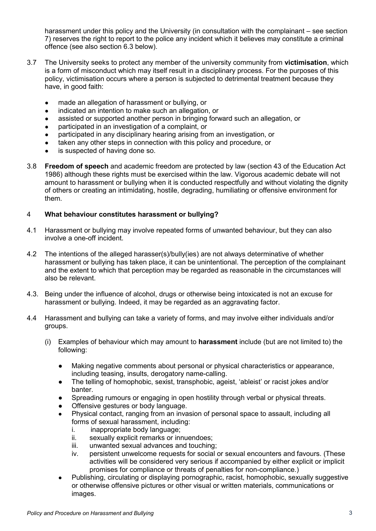harassment under this policy and the University (in consultation with the complainant – see section 7) reserves the right to report to the police any incident which it believes may constitute a criminal offence (see also section 6.3 below).

- 3.7 The University seeks to protect any member of the university community from **victimisation**, which is a form of misconduct which may itself result in a disciplinary process. For the purposes of this policy, victimisation occurs where a person is subjected to detrimental treatment because they have, in good faith:
	- made an allegation of harassment or bullying, or
	- indicated an intention to make such an allegation, or
	- assisted or supported another person in bringing forward such an allegation, or
	- participated in an investigation of a complaint, or
	- participated in any disciplinary hearing arising from an investigation, or
	- taken any other steps in connection with this policy and procedure, or
	- is suspected of having done so.
- 3.8 **Freedom of speech** and academic freedom are protected by law (section 43 of the Education Act 1986) although these rights must be exercised within the law. Vigorous academic debate will not amount to harassment or bullying when it is conducted respectfully and without violating the dignity of others or creating an intimidating, hostile, degrading, humiliating or offensive environment for them.

## 4 **What behaviour constitutes harassment or bullying?**

- 4.1 Harassment or bullying may involve repeated forms of unwanted behaviour, but they can also involve a one-off incident.
- 4.2 The intentions of the alleged harasser(s)/bully(ies) are not always determinative of whether harassment or bullying has taken place, it can be unintentional. The perception of the complainant and the extent to which that perception may be regarded as reasonable in the circumstances will also be relevant.
- 4.3. Being under the influence of alcohol, drugs or otherwise being intoxicated is not an excuse for harassment or bullying. Indeed, it may be regarded as an aggravating factor.
- 4.4 Harassment and bullying can take a variety of forms, and may involve either individuals and/or groups.
	- (i) Examples of behaviour which may amount to **harassment** include (but are not limited to) the following:
		- Making negative comments about personal or physical characteristics or appearance, including teasing, insults, derogatory name-calling.
		- The telling of homophobic, sexist, transphobic, ageist, 'ableist' or racist jokes and/or banter.
		- Spreading rumours or engaging in open hostility through verbal or physical threats.
		- Offensive gestures or body language.
		- Physical contact, ranging from an invasion of personal space to assault, including all forms of sexual harassment, including:
			- i. inappropriate body language;
			- ii. sexually explicit remarks or innuendoes;
			- iii. unwanted sexual advances and touching;
			- iv. persistent unwelcome requests for social or sexual encounters and favours. (These activities will be considered very serious if accompanied by either explicit or implicit promises for compliance or threats of penalties for non-compliance.)
		- Publishing, circulating or displaying pornographic, racist, homophobic, sexually suggestive or otherwise offensive pictures or other visual or written materials, communications or images.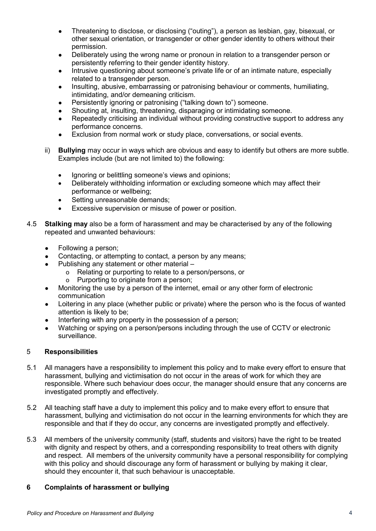- Threatening to disclose, or disclosing ("outing"), a person as lesbian, gay, bisexual, or other sexual orientation, or transgender or other gender identity to others without their permission.
- Deliberately using the wrong name or pronoun in relation to a transgender person or persistently referring to their gender identity history.
- Intrusive questioning about someone's private life or of an intimate nature, especially related to a transgender person.
- Insulting, abusive, embarrassing or patronising behaviour or comments, humiliating, intimidating, and/or demeaning criticism.
- Persistently ignoring or patronising ("talking down to") someone.
- Shouting at, insulting, threatening, disparaging or intimidating someone.
- Repeatedly criticising an individual without providing constructive support to address any performance concerns.
- Exclusion from normal work or study place, conversations, or social events.
- ii) **Bullying** may occur in ways which are obvious and easy to identify but others are more subtle. Examples include (but are not limited to) the following:
	- Ignoring or belittling someone's views and opinions;
	- Deliberately withholding information or excluding someone which may affect their performance or wellbeing;
	- Setting unreasonable demands;
	- Excessive supervision or misuse of power or position.
- 4.5 **Stalking may** also be a form of harassment and may be characterised by any of the following repeated and unwanted behaviours:
	- Following a person;
	- Contacting, or attempting to contact, a person by any means;
	- Publishing any statement or other material
		- o Relating or purporting to relate to a person/persons, or o Purporting to originate from a person:
		- Purporting to originate from a person;
	- Monitoring the use by a person of the internet, email or any other form of electronic communication
	- Loitering in any place (whether public or private) where the person who is the focus of wanted attention is likely to be;
	- Interfering with any property in the possession of a person;
	- Watching or spying on a person/persons including through the use of CCTV or electronic surveillance.

# 5 **Responsibilities**

- 5.1 All managers have a responsibility to implement this policy and to make every effort to ensure that harassment, bullying and victimisation do not occur in the areas of work for which they are responsible. Where such behaviour does occur, the manager should ensure that any concerns are investigated promptly and effectively.
- 5.2 All teaching staff have a duty to implement this policy and to make every effort to ensure that harassment, bullying and victimisation do not occur in the learning environments for which they are responsible and that if they do occur, any concerns are investigated promptly and effectively.
- 5.3 All members of the university community (staff, students and visitors) have the right to be treated with dignity and respect by others, and a corresponding responsibility to treat others with dignity and respect. All members of the university community have a personal responsibility for complying with this policy and should discourage any form of harassment or bullying by making it clear. should they encounter it, that such behaviour is unacceptable.

# **6 Complaints of harassment or bullying**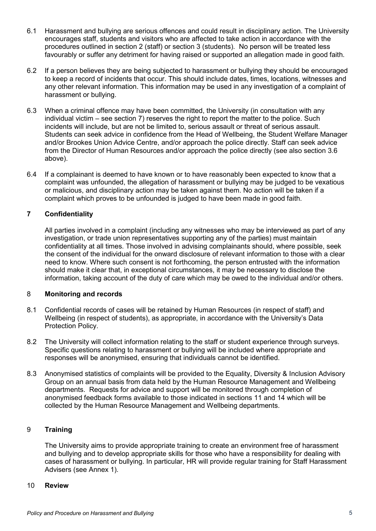- 6.1 Harassment and bullying are serious offences and could result in disciplinary action. The University encourages staff, students and visitors who are affected to take action in accordance with the procedures outlined in section 2 (staff) or section 3 (students). No person will be treated less favourably or suffer any detriment for having raised or supported an allegation made in good faith.
- 6.2 If a person believes they are being subjected to harassment or bullying they should be encouraged to keep a record of incidents that occur. This should include dates, times, locations, witnesses and any other relevant information. This information may be used in any investigation of a complaint of harassment or bullying.
- 6.3 When a criminal offence may have been committed, the University (in consultation with any individual victim – see section 7) reserves the right to report the matter to the police. Such incidents will include, but are not be limited to, serious assault or threat of serious assault. Students can seek advice in confidence from the Head of Wellbeing, the Student Welfare Manager and/or Brookes Union Advice Centre, and/or approach the police directly. Staff can seek advice from the Director of Human Resources and/or approach the police directly (see also section 3.6 above).
- 6.4 If a complainant is deemed to have known or to have reasonably been expected to know that a complaint was unfounded, the allegation of harassment or bullying may be judged to be vexatious or malicious, and disciplinary action may be taken against them. No action will be taken if a complaint which proves to be unfounded is judged to have been made in good faith.

## **7 Confidentiality**

All parties involved in a complaint (including any witnesses who may be interviewed as part of any investigation, or trade union representatives supporting any of the parties) must maintain confidentiality at all times. Those involved in advising complainants should, where possible, seek the consent of the individual for the onward disclosure of relevant information to those with a clear need to know. Where such consent is not forthcoming, the person entrusted with the information should make it clear that, in exceptional circumstances, it may be necessary to disclose the information, taking account of the duty of care which may be owed to the individual and/or others.

## 8 **Monitoring and records**

- 8.1 Confidential records of cases will be retained by Human Resources (in respect of staff) and Wellbeing (in respect of students), as appropriate, in accordance with the University's Data Protection Policy.
- 8.2 The University will collect information relating to the staff or student experience through surveys. Specific questions relating to harassment or bullying will be included where appropriate and responses will be anonymised, ensuring that individuals cannot be identified.
- 8.3 Anonymised statistics of complaints will be provided to the Equality, Diversity & Inclusion Advisory Group on an annual basis from data held by the Human Resource Management and Wellbeing departments. Requests for advice and support will be monitored through completion of anonymised feedback forms available to those indicated in sections 11 and 14 which will be collected by the Human Resource Management and Wellbeing departments.

## 9 **Training**

The University aims to provide appropriate training to create an environment free of harassment and bullying and to develop appropriate skills for those who have a responsibility for dealing with cases of harassment or bullying. In particular, HR will provide regular training for Staff Harassment Advisers (see Annex 1).

#### 10 **Review**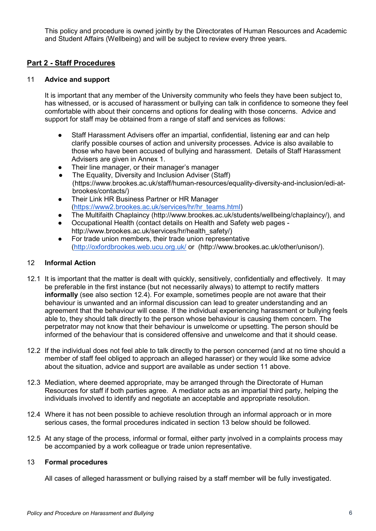This policy and procedure is owned jointly by the Directorates of Human Resources and Academic and Student Affairs (Wellbeing) and will be subject to review every three years.

# **Part 2 - Staff Procedures**

#### 11 **Advice and support**

It is important that any member of the University community who feels they have been subject to, has witnessed, or is accused of harassment or bullying can talk in confidence to someone they feel comfortable with about their concerns and options for dealing with those concerns. Advice and support for staff may be obtained from a range of staff and services as follows:

- Staff Harassment Advisers offer an impartial, confidential, listening ear and can help clarify possible courses of action and university processes. Advice is also available to those who have been accused of bullying and harassment. Details of Staff Harassment Advisers are given in Annex 1.
- Their line manager, or their manager's manager
- The Equality, Diversity and Inclusion Adviser (Staff) (https://www.brookes.ac.uk/staff/human-resources/equality-diversity-and-inclusion/edi-atbrookes/contacts/)
- Their Link HR Business Partner or HR Manager [\(https://www2.brookes.ac.uk/services/hr/hr\\_teams.html\)](https://www2.brookes.ac.uk/services/hr/hr_teams.html)
- The Multifaith Chaplaincy (http://www.brookes.ac.uk/students/wellbeing/chaplaincy/), and
- Occupational Health (contact details on Health and Safety web pages http://www.brookes.ac.uk/services/hr/health\_safety/)
- For trade union members, their trade union representative [\(http://oxfordbrookes.web.ucu.org.uk/](http://oxfordbrookes.web.ucu.org.uk/) or (http://www.brookes.ac.uk/other/unison/).

## 12 **Informal Action**

- 12.1 It is important that the matter is dealt with quickly, sensitively, confidentially and effectively. It may be preferable in the first instance (but not necessarily always) to attempt to rectify matters **informally** (see also section 12.4). For example, sometimes people are not aware that their behaviour is unwanted and an informal discussion can lead to greater understanding and an agreement that the behaviour will cease. If the individual experiencing harassment or bullying feels able to, they should talk directly to the person whose behaviour is causing them concern. The perpetrator may not know that their behaviour is unwelcome or upsetting. The person should be informed of the behaviour that is considered offensive and unwelcome and that it should cease.
- 12.2 If the individual does not feel able to talk directly to the person concerned (and at no time should a member of staff feel obliged to approach an alleged harasser) or they would like some advice about the situation, advice and support are available as under section 11 above.
- 12.3 Mediation, where deemed appropriate, may be arranged through the Directorate of Human Resources for staff if both parties agree. A mediator acts as an impartial third party, helping the individuals involved to identify and negotiate an acceptable and appropriate resolution.
- 12.4 Where it has not been possible to achieve resolution through an informal approach or in more serious cases, the formal procedures indicated in section 13 below should be followed.
- 12.5 At any stage of the process, informal or formal, either party involved in a complaints process may be accompanied by a work colleague or trade union representative.

## 13 **Formal procedures**

All cases of alleged harassment or bullying raised by a staff member will be fully investigated.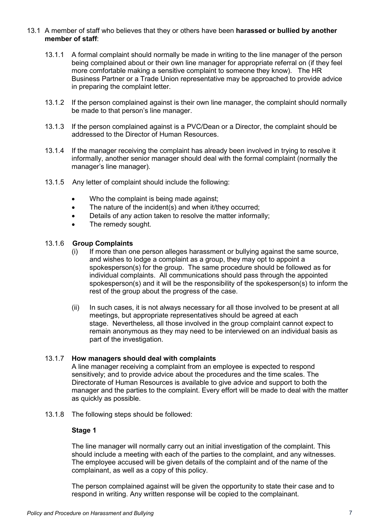#### 13.1 A member of staff who believes that they or others have been **harassed or bullied by another member of staff**:

- 13.1.1 A formal complaint should normally be made in writing to the line manager of the person being complained about or their own line manager for appropriate referral on (if they feel more comfortable making a sensitive complaint to someone they know). The HR Business Partner or a Trade Union representative may be approached to provide advice in preparing the complaint letter.
- 13.1.2 If the person complained against is their own line manager, the complaint should normally be made to that person's line manager.
- 13.1.3 If the person complained against is a PVC/Dean or a Director, the complaint should be addressed to the Director of Human Resources.
- 13.1.4 If the manager receiving the complaint has already been involved in trying to resolve it informally, another senior manager should deal with the formal complaint (normally the manager's line manager).
- 13.1.5 Any letter of complaint should include the following:
	- Who the complaint is being made against;
	- The nature of the incident(s) and when it/they occurred:
	- Details of any action taken to resolve the matter informally;
	- The remedy sought.

#### 13.1.6 **Group Complaints**

- (i) If more than one person alleges harassment or bullying against the same source, and wishes to lodge a complaint as a group, they may opt to appoint a spokesperson(s) for the group. The same procedure should be followed as for individual complaints. All communications should pass through the appointed spokesperson(s) and it will be the responsibility of the spokesperson(s) to inform the rest of the group about the progress of the case.
- (ii) In such cases, it is not always necessary for all those involved to be present at all meetings, but appropriate representatives should be agreed at each stage. Nevertheless, all those involved in the group complaint cannot expect to remain anonymous as they may need to be interviewed on an individual basis as part of the investigation.

## 13.1.7 **How managers should deal with complaints**

A line manager receiving a complaint from an employee is expected to respond sensitively; and to provide advice about the procedures and the time scales. The Directorate of Human Resources is available to give advice and support to both the manager and the parties to the complaint. Every effort will be made to deal with the matter as quickly as possible.

13.1.8 The following steps should be followed:

## **Stage 1**

The line manager will normally carry out an initial investigation of the complaint. This should include a meeting with each of the parties to the complaint, and any witnesses. The employee accused will be given details of the complaint and of the name of the complainant, as well as a copy of this policy.

The person complained against will be given the opportunity to state their case and to respond in writing. Any written response will be copied to the complainant.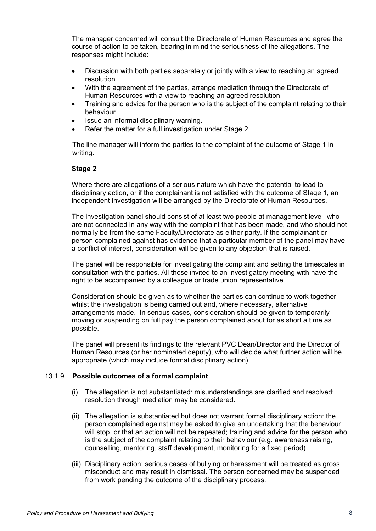The manager concerned will consult the Directorate of Human Resources and agree the course of action to be taken, bearing in mind the seriousness of the allegations. The responses might include:

- Discussion with both parties separately or jointly with a view to reaching an agreed resolution.
- With the agreement of the parties, arrange mediation through the Directorate of Human Resources with a view to reaching an agreed resolution.
- Training and advice for the person who is the subject of the complaint relating to their behaviour.
- Issue an informal disciplinary warning.
- Refer the matter for a full investigation under Stage 2.

The line manager will inform the parties to the complaint of the outcome of Stage 1 in writing.

#### **Stage 2**

Where there are allegations of a serious nature which have the potential to lead to disciplinary action, or if the complainant is not satisfied with the outcome of Stage 1, an independent investigation will be arranged by the Directorate of Human Resources.

The investigation panel should consist of at least two people at management level, who are not connected in any way with the complaint that has been made, and who should not normally be from the same Faculty/Directorate as either party. If the complainant or person complained against has evidence that a particular member of the panel may have a conflict of interest, consideration will be given to any objection that is raised.

The panel will be responsible for investigating the complaint and setting the timescales in consultation with the parties. All those invited to an investigatory meeting with have the right to be accompanied by a colleague or trade union representative.

Consideration should be given as to whether the parties can continue to work together whilst the investigation is being carried out and, where necessary, alternative arrangements made. In serious cases, consideration should be given to temporarily moving or suspending on full pay the person complained about for as short a time as possible.

The panel will present its findings to the relevant PVC Dean/Director and the Director of Human Resources (or her nominated deputy), who will decide what further action will be appropriate (which may include formal disciplinary action).

#### 13.1.9 **Possible outcomes of a formal complaint**

- (i) The allegation is not substantiated: misunderstandings are clarified and resolved; resolution through mediation may be considered.
- (ii) The allegation is substantiated but does not warrant formal disciplinary action: the person complained against may be asked to give an undertaking that the behaviour will stop, or that an action will not be repeated; training and advice for the person who is the subject of the complaint relating to their behaviour (e.g. awareness raising, counselling, mentoring, staff development, monitoring for a fixed period).
- (iii) Disciplinary action: serious cases of bullying or harassment will be treated as gross misconduct and may result in dismissal. The person concerned may be suspended from work pending the outcome of the disciplinary process.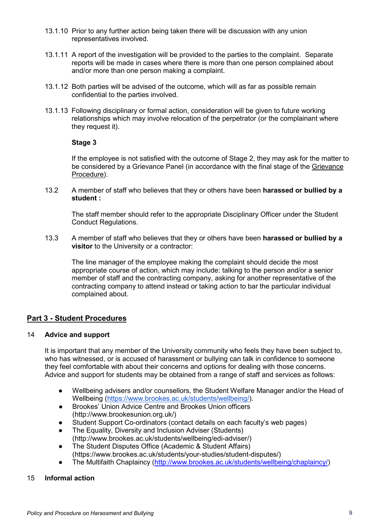- 13.1.10 Prior to any further action being taken there will be discussion with any union representatives involved.
- 13.1.11 A report of the investigation will be provided to the parties to the complaint. Separate reports will be made in cases where there is more than one person complained about and/or more than one person making a complaint.
- 13.1.12 Both parties will be advised of the outcome, which will as far as possible remain confidential to the parties involved.
- 13.1.13 Following disciplinary or formal action, consideration will be given to future working relationships which may involve relocation of the perpetrator (or the complainant where they request it).

#### **Stage 3**

If the employee is not satisfied with the outcome of Stage 2, they may ask for the matter to be considered by a Grievance Panel (in accordance with the final stage of the [Grievance](http://www.brookes.ac.uk/services/hr/handbook/problems/grievance.html)  [Procedure\)](http://www.brookes.ac.uk/services/hr/handbook/problems/grievance.html).

13.2 A member of staff who believes that they or others have been **harassed or bullied by a student :**

The staff member should refer to the appropriate Disciplinary Officer under the Student Conduct Regulations.

13.3 A member of staff who believes that they or others have been **harassed or bullied by a visitor** to the University or a contractor:

The line manager of the employee making the complaint should decide the most appropriate course of action, which may include: talking to the person and/or a senior member of staff and the contracting company, asking for another representative of the contracting company to attend instead or taking action to bar the particular individual complained about.

# **Part 3 - Student Procedures**

#### 14 **Advice and support**

It is important that any member of the University community who feels they have been subject to, who has witnessed, or is accused of harassment or bullying can talk in confidence to someone they feel comfortable with about their concerns and options for dealing with those concerns. Advice and support for students may be obtained from a range of staff and services as follows:

- Wellbeing advisers and/or counsellors, the Student Welfare Manager and/or the Head of Wellbeing [\(https://www.brookes.ac.uk/students/wellbeing/\)](https://www.brookes.ac.uk/students/wellbeing/).
- Brookes' Union Advice Centre and Brookes Union officers (http://www.brookesunion.org.uk/)
- Student Support Co-ordinators (contact details on each faculty's web pages)
- The Equality, Diversity and Inclusion Adviser (Students) (http://www.brookes.ac.uk/students/wellbeing/edi-adviser/)
- The Student Disputes Office (Academic & Student Affairs) (https://www.brookes.ac.uk/students/your-studies/student-disputes/)
- The Multifaith Chaplaincy [\(http://www.brookes.ac.uk/students/wellbeing/chaplaincy/\)](http://www.brookes.ac.uk/students/wellbeing/chaplaincy/)

## 15 **Informal action**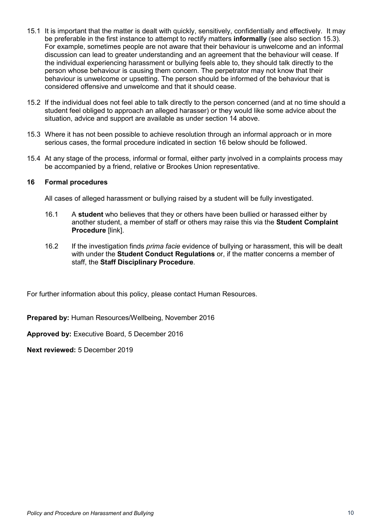- 15.1 It is important that the matter is dealt with quickly, sensitively, confidentially and effectively. It may be preferable in the first instance to attempt to rectify matters **informally** (see also section 15.3). For example, sometimes people are not aware that their behaviour is unwelcome and an informal discussion can lead to greater understanding and an agreement that the behaviour will cease. If the individual experiencing harassment or bullying feels able to, they should talk directly to the person whose behaviour is causing them concern. The perpetrator may not know that their behaviour is unwelcome or upsetting. The person should be informed of the behaviour that is considered offensive and unwelcome and that it should cease.
- 15.2 If the individual does not feel able to talk directly to the person concerned (and at no time should a student feel obliged to approach an alleged harasser) or they would like some advice about the situation, advice and support are available as under section 14 above.
- 15.3 Where it has not been possible to achieve resolution through an informal approach or in more serious cases, the formal procedure indicated in section 16 below should be followed.
- 15.4 At any stage of the process, informal or formal, either party involved in a complaints process may be accompanied by a friend, relative or Brookes Union representative.

#### **16 Formal procedures**

All cases of alleged harassment or bullying raised by a student will be fully investigated.

- 16.1 A **student** who believes that they or others have been bullied or harassed either by another student, a member of staff or others may raise this via the **Student Complaint Procedure** [link].
- 16.2 If the investigation finds *prima facie* evidence of bullying or harassment, this will be dealt with under the **Student Conduct Regulations** or, if the matter concerns a member of staff, the **Staff Disciplinary Procedure**.

For further information about this policy, please contact Human Resources.

**Prepared by:** Human Resources/Wellbeing, November 2016

**Approved by:** Executive Board, 5 December 2016

**Next reviewed:** 5 December 2019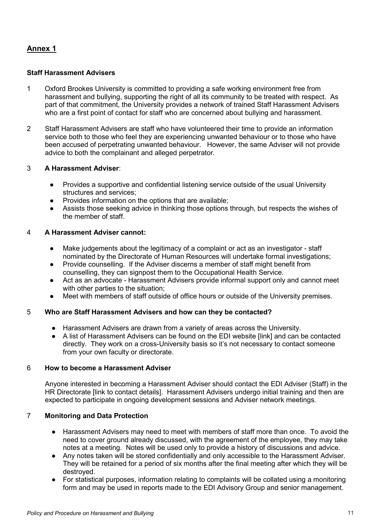# **Annex 1**

## **Staff Harassment Advisers**

- 1 Oxford Brookes University is committed to providing a safe working environment free from harassment and bullying, supporting the right of all its community to be treated with respect. As part of that commitment, the University provides a network of trained Staff Harassment Advisers who are a first point of contact for staff who are concerned about bullying and harassment.
- 2 Staff Harassment Advisers are staff who have volunteered their time to provide an information service both to those who feel they are experiencing unwanted behaviour or to those who have been accused of perpetrating unwanted behaviour. However, the same Adviser will not provide advice to both the complainant and alleged perpetrator.

## 3 **A Harassment Adviser**:

- Provides a supportive and confidential listening service outside of the usual University structures and services;
- Provides information on the options that are available;
- Assists those seeking advice in thinking those options through, but respects the wishes of the member of staff.

## 4 **A Harassment Adviser cannot:**

- Make judgements about the legitimacy of a complaint or act as an investigator staff nominated by the Directorate of Human Resources will undertake formal investigations;
- Provide counselling. If the Adviser discerns a member of staff might benefit from counselling, they can signpost them to the Occupational Health Service.
- Act as an advocate Harassment Advisers provide informal support only and cannot meet with other parties to the situation;
- Meet with members of staff outside of office hours or outside of the University premises.

# 5 **Who are Staff Harassment Advisers and how can they be contacted?**

- Harassment Advisers are drawn from a variety of areas across the University.
- A list of Harassment Advisers can be found on the EDI website [link] and can be contacted directly. They work on a cross-University basis so it's not necessary to contact someone from your own faculty or directorate.

## 6 **How to become a Harassment Adviser**

Anyone interested in becoming a Harassment Adviser should contact the EDI Adviser (Staff) in the HR Directorate [link to contact details]. Harassment Advisers undergo initial training and then are expected to participate in ongoing development sessions and Adviser network meetings.

## 7 **Monitoring and Data Protection**

- Harassment Advisers may need to meet with members of staff more than once. To avoid the need to cover ground already discussed, with the agreement of the employee, they may take notes at a meeting. Notes will be used only to provide a history of discussions and advice.
- Any notes taken will be stored confidentially and only accessible to the Harassment Adviser. They will be retained for a period of six months after the final meeting after which they will be destroyed.
- For statistical purposes, information relating to complaints will be collated using a monitoring form and may be used in reports made to the EDI Advisory Group and senior management.